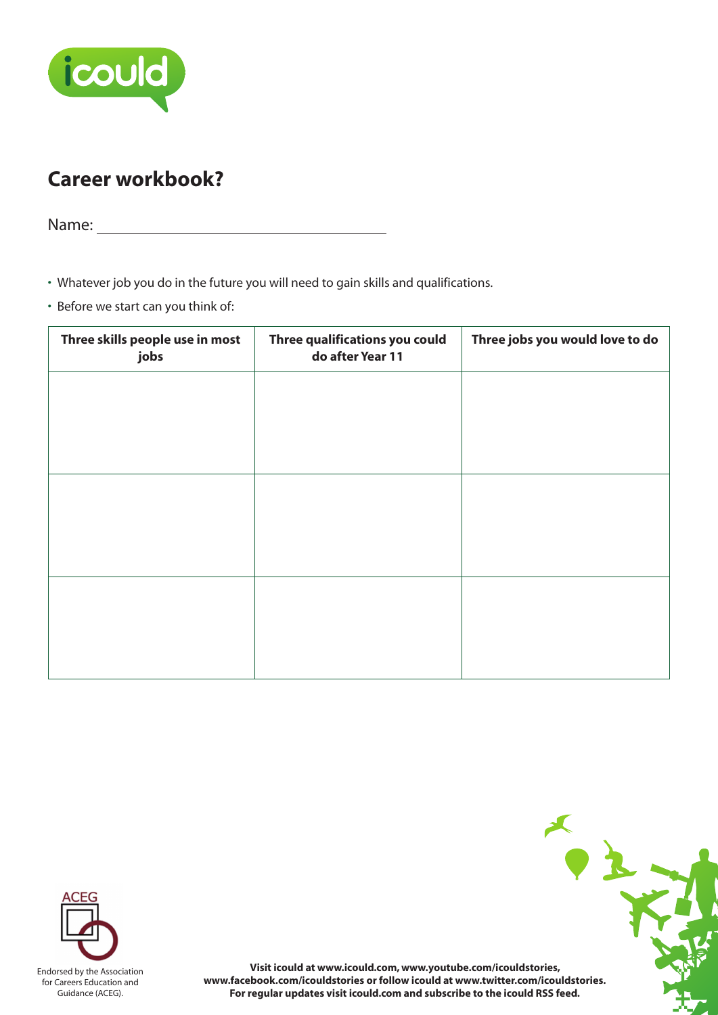

## **Career workbook?**

Name:

• Whatever job you do in the future you will need to gain skills and qualifications.

• Before we start can you think of:

| Three skills people use in most<br>jobs | Three qualifications you could<br>do after Year 11 | Three jobs you would love to do |
|-----------------------------------------|----------------------------------------------------|---------------------------------|
|                                         |                                                    |                                 |
|                                         |                                                    |                                 |
|                                         |                                                    |                                 |
|                                         |                                                    |                                 |
|                                         |                                                    |                                 |
|                                         |                                                    |                                 |
|                                         |                                                    |                                 |



**Visit icould at www.icould.com, www.youtube.com/icouldstories, www.facebook.com/icouldstories or follow icould at www.twitter.com/icouldstories. For regular updates visit icould.com and subscribe to the icould RSS feed.**